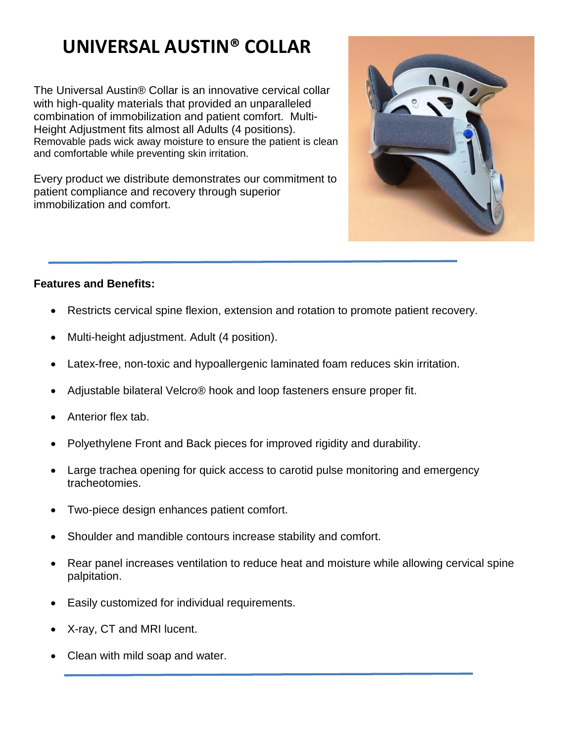# **UNIVERSAL AUSTIN® COLLAR**

The Universal Austin® Collar is an innovative cervical collar with high-quality materials that provided an unparalleled combination of immobilization and patient comfort. Multi-Height Adjustment fits almost all Adults (4 positions). Removable pads wick away moisture to ensure the patient is clean and comfortable while preventing skin irritation.

Every product we distribute demonstrates our commitment to patient compliance and recovery through superior immobilization and comfort.



# **Features and Benefits:**

- Restricts cervical spine flexion, extension and rotation to promote patient recovery.
- Multi-height adjustment. Adult (4 position).
- Latex-free, non-toxic and hypoallergenic laminated foam reduces skin irritation.
- Adjustable bilateral Velcro® hook and loop fasteners ensure proper fit.
- Anterior flex tab.
- Polyethylene Front and Back pieces for improved rigidity and durability.
- Large trachea opening for quick access to carotid pulse monitoring and emergency tracheotomies.
- Two-piece design enhances patient comfort.
- Shoulder and mandible contours increase stability and comfort.
- Rear panel increases ventilation to reduce heat and moisture while allowing cervical spine palpitation.
- Easily customized for individual requirements.
- X-ray, CT and MRI lucent.
- Clean with mild soap and water.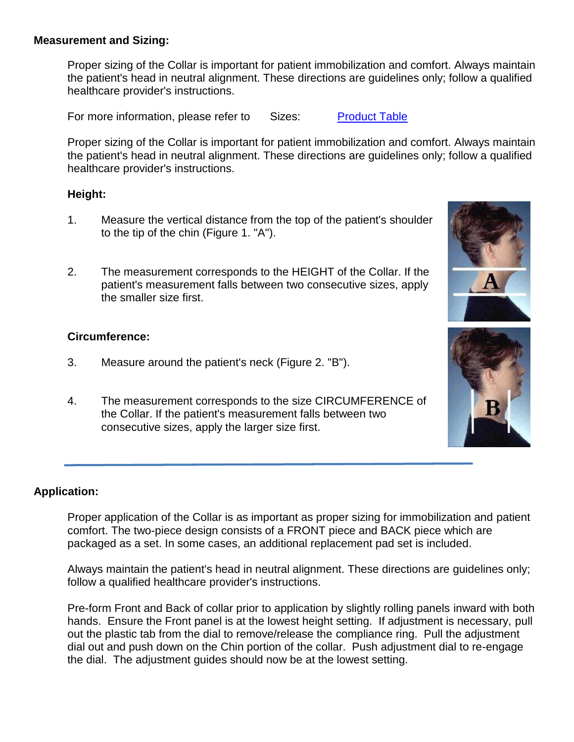### **Measurement and Sizing:**

Proper sizing of the Collar is important for patient immobilization and comfort. Always maintain the patient's head in neutral alignment. These directions are guidelines only; follow a qualified healthcare provider's instructions.

For more information, please refer to Sizes: Product Table

Proper sizing of the Collar is important for patient immobilization and comfort. Always maintain the patient's head in neutral alignment. These directions are guidelines only; follow a qualified healthcare provider's instructions.

# **Height:**

- 1. Measure the vertical distance from the top of the patient's shoulder to the tip of the chin (Figure 1. "A").
- 2. The measurement corresponds to the HEIGHT of the Collar. If the patient's measurement falls between two consecutive sizes, apply the smaller size first.

# **Circumference:**

- 3. Measure around the patient's neck (Figure 2. "B").
- 4. The measurement corresponds to the size CIRCUMFERENCE of the Collar. If the patient's measurement falls between two consecutive sizes, apply the larger size first.

# **Application:**

Proper application of the Collar is as important as proper sizing for immobilization and patient comfort. The two-piece design consists of a FRONT piece and BACK piece which are packaged as a set. In some cases, an additional replacement pad set is included.

Always maintain the patient's head in neutral alignment. These directions are guidelines only; follow a qualified healthcare provider's instructions.

Pre-form Front and Back of collar prior to application by slightly rolling panels inward with both hands. Ensure the Front panel is at the lowest height setting. If adjustment is necessary, pull out the plastic tab from the dial to remove/release the compliance ring. Pull the adjustment dial out and push down on the Chin portion of the collar. Push adjustment dial to re-engage the dial. The adjustment guides should now be at the lowest setting.

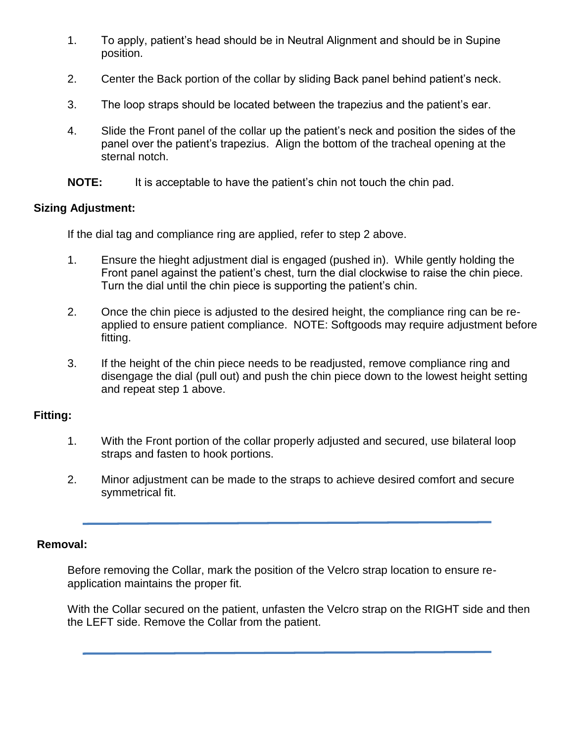- 1. To apply, patient's head should be in Neutral Alignment and should be in Supine position.
- 2. Center the Back portion of the collar by sliding Back panel behind patient's neck.
- 3. The loop straps should be located between the trapezius and the patient's ear.
- 4. Slide the Front panel of the collar up the patient's neck and position the sides of the panel over the patient's trapezius. Align the bottom of the tracheal opening at the sternal notch.
- **NOTE:** It is acceptable to have the patient's chin not touch the chin pad.

# **Sizing Adjustment:**

If the dial tag and compliance ring are applied, refer to step 2 above.

- 1. Ensure the hieght adjustment dial is engaged (pushed in). While gently holding the Front panel against the patient's chest, turn the dial clockwise to raise the chin piece. Turn the dial until the chin piece is supporting the patient's chin.
- 2. Once the chin piece is adjusted to the desired height, the compliance ring can be reapplied to ensure patient compliance. NOTE: Softgoods may require adjustment before fitting.
- 3. If the height of the chin piece needs to be readjusted, remove compliance ring and disengage the dial (pull out) and push the chin piece down to the lowest height setting and repeat step 1 above.

# **Fitting:**

- 1. With the Front portion of the collar properly adjusted and secured, use bilateral loop straps and fasten to hook portions.
- 2. Minor adjustment can be made to the straps to achieve desired comfort and secure symmetrical fit.

# **Removal:**

Before removing the Collar, mark the position of the Velcro strap location to ensure reapplication maintains the proper fit.

With the Collar secured on the patient, unfasten the Velcro strap on the RIGHT side and then the LEFT side. Remove the Collar from the patient.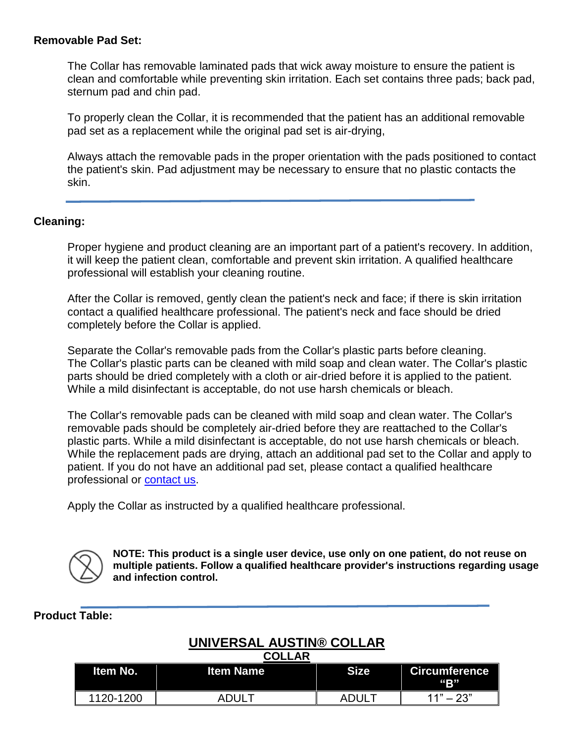### **Removable Pad Set:**

The Collar has removable laminated pads that wick away moisture to ensure the patient is clean and comfortable while preventing skin irritation. Each set contains three pads; back pad, sternum pad and chin pad.

To properly clean the Collar, it is recommended that the patient has an additional removable pad set as a replacement while the original pad set is air-drying,

Always attach the removable pads in the proper orientation with the pads positioned to contact the patient's skin. Pad adjustment may be necessary to ensure that no plastic contacts the skin.

#### **Cleaning:**

Proper hygiene and product cleaning are an important part of a patient's recovery. In addition, it will keep the patient clean, comfortable and prevent skin irritation. A qualified healthcare professional will establish your cleaning routine.

After the Collar is removed, gently clean the patient's neck and face; if there is skin irritation contact a qualified healthcare professional. The patient's neck and face should be dried completely before the Collar is applied.

Separate the Collar's removable pads from the Collar's plastic parts before cleaning. The Collar's plastic parts can be cleaned with mild soap and clean water. The Collar's plastic parts should be dried completely with a cloth or air-dried before it is applied to the patient. While a mild disinfectant is acceptable, do not use harsh chemicals or bleach.

The Collar's removable pads can be cleaned with mild soap and clean water. The Collar's removable pads should be completely air-dried before they are reattached to the Collar's plastic parts. While a mild disinfectant is acceptable, do not use harsh chemicals or bleach. While the replacement pads are drying, attach an additional pad set to the Collar and apply to patient. If you do not have an additional pad set, please contact a qualified healthcare professional or contact us.

Apply the Collar as instructed by a qualified healthcare professional.



**NOTE: This product is a single user device, use only on one patient, do not reuse on multiple patients. Follow a qualified healthcare provider's instructions regarding usage and infection control.**

### **Product Table:**

# **UNIVERSAL AUSTIN® COLLAR**

| <b>COLLAR</b>   |                  |              |                             |  |
|-----------------|------------------|--------------|-----------------------------|--|
| <b>Item No.</b> | <b>Item Name</b> | <b>Size</b>  | <b>Circumference</b><br>"B" |  |
| 1120-1200       | <b>ADUL</b>      | <b>ADULT</b> | $11" - 23"$                 |  |